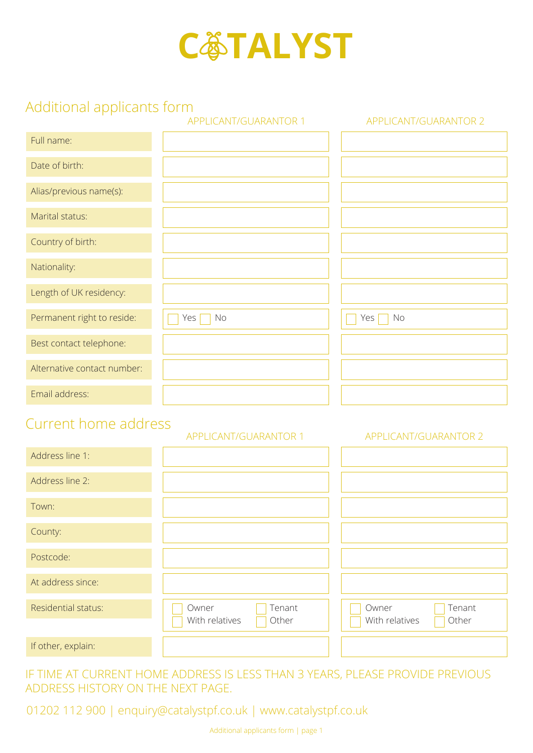

# Additional applicants form

|                             | APPLICANT/GUARANTOR 1                      | APPLICANT/GUARANTOR 2                      |
|-----------------------------|--------------------------------------------|--------------------------------------------|
| Full name:                  |                                            |                                            |
| Date of birth:              |                                            |                                            |
| Alias/previous name(s):     |                                            |                                            |
| Marital status:             |                                            |                                            |
| Country of birth:           |                                            |                                            |
| Nationality:                |                                            |                                            |
| Length of UK residency:     |                                            |                                            |
| Permanent right to reside:  | Yes <sub>1</sub><br>No                     | Yes<br>No                                  |
| Best contact telephone:     |                                            |                                            |
| Alternative contact number: |                                            |                                            |
| Email address:              |                                            |                                            |
| Current home address        | APPLICANT/GUARANTOR 1                      | APPLICANT/GUARANTOR 2                      |
| Address line 1:             |                                            |                                            |
| Address line 2:             |                                            |                                            |
| Town:                       |                                            |                                            |
| County:                     |                                            |                                            |
| Postcode:                   |                                            |                                            |
| At address since:           |                                            |                                            |
| Residential status:         | Owner<br>Tenant<br>With relatives<br>Other | Tenant<br>Owner<br>With relatives<br>Other |
| If other, explain:          |                                            |                                            |

IF TIME AT CURRENT HOME ADDRESS IS LESS THAN 3 YEARS, PLEASE PROVIDE PREVIOUS ADDRESS HISTORY ON THE NEXT PAGE.

01202 112 900 | enquiry@catalystpf.co.uk | www.catalystpf.co.uk